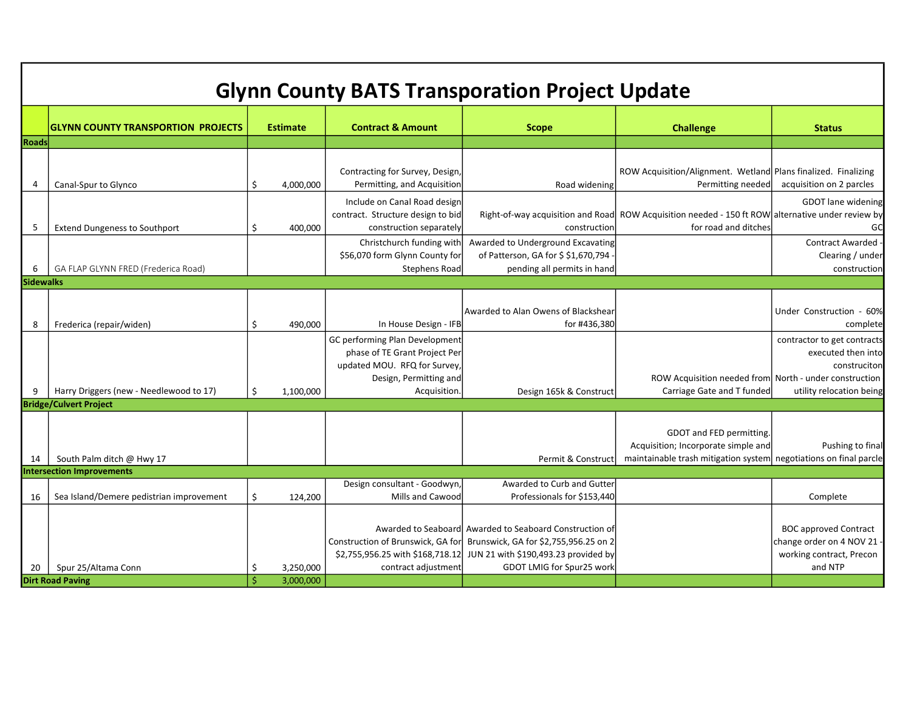| <b>Glynn County BATS Transporation Project Update</b> |                                                |                          |                        |                                                                                                                                           |                                                                                                                                          |                                                                                                                                      |                                                                                                 |  |  |  |  |  |  |
|-------------------------------------------------------|------------------------------------------------|--------------------------|------------------------|-------------------------------------------------------------------------------------------------------------------------------------------|------------------------------------------------------------------------------------------------------------------------------------------|--------------------------------------------------------------------------------------------------------------------------------------|-------------------------------------------------------------------------------------------------|--|--|--|--|--|--|
|                                                       | <b>GLYNN COUNTY TRANSPORTION PROJECTS</b>      |                          | <b>Estimate</b>        | <b>Contract &amp; Amount</b>                                                                                                              | <b>Scope</b>                                                                                                                             | <b>Challenge</b>                                                                                                                     | <b>Status</b>                                                                                   |  |  |  |  |  |  |
| <b>Roads</b>                                          |                                                |                          |                        |                                                                                                                                           |                                                                                                                                          |                                                                                                                                      |                                                                                                 |  |  |  |  |  |  |
| 4                                                     | Canal-Spur to Glynco                           | \$                       | 4,000,000              | Contracting for Survey, Design,<br>Permitting, and Acquisition                                                                            | Road widening                                                                                                                            | ROW Acquisition/Alignment. Wetland Plans finalized. Finalizing<br>Permitting needed                                                  | acquisition on 2 parcles                                                                        |  |  |  |  |  |  |
| 5                                                     | <b>Extend Dungeness to Southport</b>           | \$                       | 400,000                | Include on Canal Road design<br>contract. Structure design to bid<br>construction separately                                              | construction                                                                                                                             | Right-of-way acquisition and Road ROW Acquisition needed - 150 ft ROW alternative under review by<br>for road and ditches            | GDOT lane widening                                                                              |  |  |  |  |  |  |
| 6                                                     | GA FLAP GLYNN FRED (Frederica Road)            |                          |                        | Christchurch funding with<br>\$56,070 form Glynn County for<br><b>Stephens Road</b>                                                       | Awarded to Underground Excavating<br>of Patterson, GA for \$ \$1,670,794<br>pending all permits in hand                                  |                                                                                                                                      | <b>Contract Awarded</b><br>Clearing / under<br>construction                                     |  |  |  |  |  |  |
| <b>Sidewalks</b>                                      |                                                |                          |                        |                                                                                                                                           |                                                                                                                                          |                                                                                                                                      |                                                                                                 |  |  |  |  |  |  |
| 8                                                     | Frederica (repair/widen)                       | \$                       | 490,000                | In House Design - IFB                                                                                                                     | Awarded to Alan Owens of Blackshear<br>for #436,380                                                                                      |                                                                                                                                      | Under Construction - 60%<br>complete                                                            |  |  |  |  |  |  |
| 9                                                     | Harry Driggers (new - Needlewood to 17)        | Ś.                       | 1,100,000              | GC performing Plan Development<br>phase of TE Grant Project Per<br>updated MOU. RFQ for Survey,<br>Design, Permitting and<br>Acquisition. | Design 165k & Construct                                                                                                                  | ROW Acquisition needed from North - under construction<br>Carriage Gate and T funded                                                 | contractor to get contracts<br>executed then into<br>construciton<br>utility relocation being   |  |  |  |  |  |  |
|                                                       | <b>Bridge/Culvert Project</b>                  |                          |                        |                                                                                                                                           |                                                                                                                                          |                                                                                                                                      |                                                                                                 |  |  |  |  |  |  |
| 14                                                    | South Palm ditch @ Hwy 17                      |                          |                        |                                                                                                                                           | Permit & Construct                                                                                                                       | GDOT and FED permitting.<br>Acquisition; Incorporate simple and<br>maintainable trash mitigation system negotiations on final parcle | Pushing to final                                                                                |  |  |  |  |  |  |
|                                                       | <b>Intersection Improvements</b>               |                          |                        |                                                                                                                                           |                                                                                                                                          |                                                                                                                                      |                                                                                                 |  |  |  |  |  |  |
| 16                                                    | Sea Island/Demere pedistrian improvement       | \$                       | 124,200                | Design consultant - Goodwyn,<br>Mills and Cawood                                                                                          | Awarded to Curb and Gutter<br>Professionals for \$153,440                                                                                |                                                                                                                                      | Complete                                                                                        |  |  |  |  |  |  |
|                                                       |                                                |                          |                        | Construction of Brunswick, GA for<br>\$2,755,956.25 with \$168,718.12                                                                     | Awarded to Seaboard Awarded to Seaboard Construction of<br>Brunswick, GA for \$2,755,956.25 on 2<br>JUN 21 with \$190,493.23 provided by |                                                                                                                                      | <b>BOC approved Contract</b><br>change order on 4 NOV 21<br>working contract, Precon<br>and NTP |  |  |  |  |  |  |
| 20                                                    | Spur 25/Altama Conn<br><b>Dirt Road Paving</b> | \$<br>$\dot{\mathsf{S}}$ | 3,250,000<br>3,000,000 | contract adjustment                                                                                                                       | GDOT LMIG for Spur25 worl                                                                                                                |                                                                                                                                      |                                                                                                 |  |  |  |  |  |  |